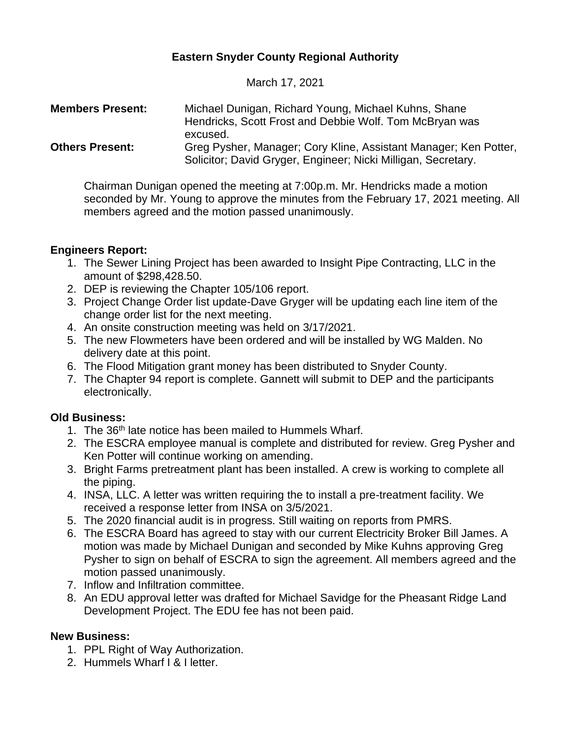# **Eastern Snyder County Regional Authority**

March 17, 2021

| <b>Members Present:</b> | Michael Dunigan, Richard Young, Michael Kuhns, Shane<br>Hendricks, Scott Frost and Debbie Wolf. Tom McBryan was<br>excused.       |
|-------------------------|-----------------------------------------------------------------------------------------------------------------------------------|
| <b>Others Present:</b>  | Greg Pysher, Manager; Cory Kline, Assistant Manager; Ken Potter,<br>Solicitor; David Gryger, Engineer; Nicki Milligan, Secretary. |

Chairman Dunigan opened the meeting at 7:00p.m. Mr. Hendricks made a motion seconded by Mr. Young to approve the minutes from the February 17, 2021 meeting. All members agreed and the motion passed unanimously.

## **Engineers Report:**

- 1. The Sewer Lining Project has been awarded to Insight Pipe Contracting, LLC in the amount of \$298,428.50.
- 2. DEP is reviewing the Chapter 105/106 report.
- 3. Project Change Order list update-Dave Gryger will be updating each line item of the change order list for the next meeting.
- 4. An onsite construction meeting was held on 3/17/2021.
- 5. The new Flowmeters have been ordered and will be installed by WG Malden. No delivery date at this point.
- 6. The Flood Mitigation grant money has been distributed to Snyder County.
- 7. The Chapter 94 report is complete. Gannett will submit to DEP and the participants electronically.

## **Old Business:**

- 1. The 36<sup>th</sup> late notice has been mailed to Hummels Wharf.
- 2. The ESCRA employee manual is complete and distributed for review. Greg Pysher and Ken Potter will continue working on amending.
- 3. Bright Farms pretreatment plant has been installed. A crew is working to complete all the piping.
- 4. INSA, LLC. A letter was written requiring the to install a pre-treatment facility. We received a response letter from INSA on 3/5/2021.
- 5. The 2020 financial audit is in progress. Still waiting on reports from PMRS.
- 6. The ESCRA Board has agreed to stay with our current Electricity Broker Bill James. A motion was made by Michael Dunigan and seconded by Mike Kuhns approving Greg Pysher to sign on behalf of ESCRA to sign the agreement. All members agreed and the motion passed unanimously.
- 7. Inflow and Infiltration committee.
- 8. An EDU approval letter was drafted for Michael Savidge for the Pheasant Ridge Land Development Project. The EDU fee has not been paid.

### **New Business:**

- 1. PPL Right of Way Authorization.
- 2. Hummels Wharf I & I letter.